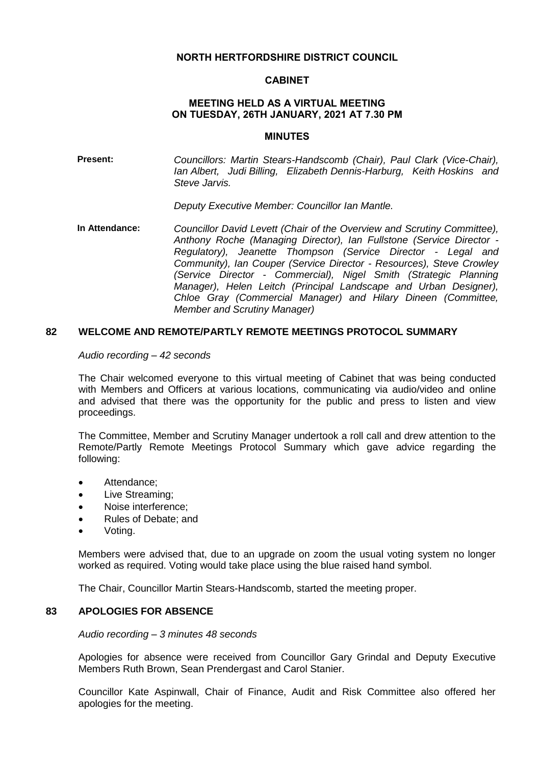## **NORTH HERTFORDSHIRE DISTRICT COUNCIL**

#### **CABINET**

#### **MEETING HELD AS A VIRTUAL MEETING ON TUESDAY, 26TH JANUARY, 2021 AT 7.30 PM**

#### **MINUTES**

**Present:** *Councillors: Martin Stears-Handscomb (Chair), Paul Clark (Vice-Chair), Ian Albert, Judi Billing, Elizabeth Dennis-Harburg, Keith Hoskins and Steve Jarvis.*

*Deputy Executive Member: Councillor Ian Mantle.*

**In Attendance:** *Councillor David Levett (Chair of the Overview and Scrutiny Committee), Anthony Roche (Managing Director), Ian Fullstone (Service Director - Regulatory), Jeanette Thompson (Service Director - Legal and Community), Ian Couper (Service Director - Resources), Steve Crowley (Service Director - Commercial), Nigel Smith (Strategic Planning Manager), Helen Leitch (Principal Landscape and Urban Designer), Chloe Gray (Commercial Manager) and Hilary Dineen (Committee, Member and Scrutiny Manager)*

#### **82 WELCOME AND REMOTE/PARTLY REMOTE MEETINGS PROTOCOL SUMMARY**

#### *Audio recording – 42 seconds*

The Chair welcomed everyone to this virtual meeting of Cabinet that was being conducted with Members and Officers at various locations, communicating via audio/video and online and advised that there was the opportunity for the public and press to listen and view proceedings.

The Committee, Member and Scrutiny Manager undertook a roll call and drew attention to the Remote/Partly Remote Meetings Protocol Summary which gave advice regarding the following:

- Attendance:
- Live Streaming:
- Noise interference:
- Rules of Debate; and
- Voting.

Members were advised that, due to an upgrade on zoom the usual voting system no longer worked as required. Voting would take place using the blue raised hand symbol.

The Chair, Councillor Martin Stears-Handscomb, started the meeting proper.

# **83 APOLOGIES FOR ABSENCE**

#### *Audio recording – 3 minutes 48 seconds*

Apologies for absence were received from Councillor Gary Grindal and Deputy Executive Members Ruth Brown, Sean Prendergast and Carol Stanier.

Councillor Kate Aspinwall, Chair of Finance, Audit and Risk Committee also offered her apologies for the meeting.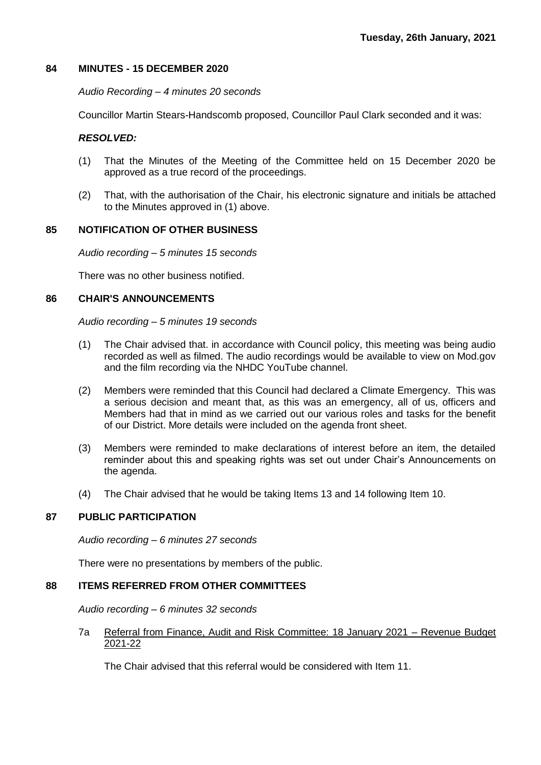## **84 MINUTES - 15 DECEMBER 2020**

#### *Audio Recording – 4 minutes 20 seconds*

Councillor Martin Stears-Handscomb proposed, Councillor Paul Clark seconded and it was:

#### *RESOLVED:*

- (1) That the Minutes of the Meeting of the Committee held on 15 December 2020 be approved as a true record of the proceedings.
- (2) That, with the authorisation of the Chair, his electronic signature and initials be attached to the Minutes approved in (1) above.

## **85 NOTIFICATION OF OTHER BUSINESS**

*Audio recording – 5 minutes 15 seconds*

There was no other business notified.

## **86 CHAIR'S ANNOUNCEMENTS**

*Audio recording – 5 minutes 19 seconds*

- (1) The Chair advised that. in accordance with Council policy, this meeting was being audio recorded as well as filmed. The audio recordings would be available to view on Mod.gov and the film recording via the NHDC YouTube channel.
- (2) Members were reminded that this Council had declared a Climate Emergency. This was a serious decision and meant that, as this was an emergency, all of us, officers and Members had that in mind as we carried out our various roles and tasks for the benefit of our District. More details were included on the agenda front sheet.
- (3) Members were reminded to make declarations of interest before an item, the detailed reminder about this and speaking rights was set out under Chair's Announcements on the agenda.
- (4) The Chair advised that he would be taking Items 13 and 14 following Item 10.

## **87 PUBLIC PARTICIPATION**

*Audio recording – 6 minutes 27 seconds*

There were no presentations by members of the public.

#### **88 ITEMS REFERRED FROM OTHER COMMITTEES**

*Audio recording – 6 minutes 32 seconds*

7a Referral from Finance, Audit and Risk Committee: 18 January 2021 – Revenue Budget 2021-22

The Chair advised that this referral would be considered with Item 11.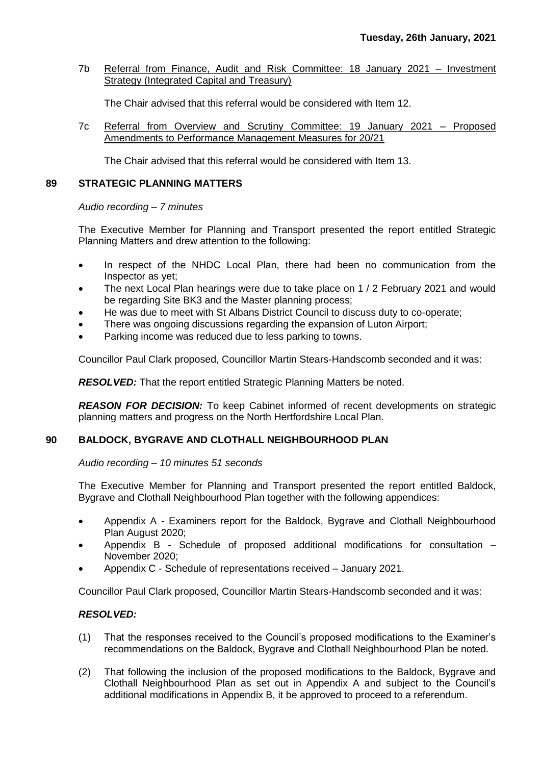7b Referral from Finance, Audit and Risk Committee: 18 January 2021 – Investment Strategy (Integrated Capital and Treasury)

The Chair advised that this referral would be considered with Item 12.

7c Referral from Overview and Scrutiny Committee: 19 January 2021 – Proposed Amendments to Performance Management Measures for 20/21

The Chair advised that this referral would be considered with Item 13.

#### **89 STRATEGIC PLANNING MATTERS**

#### *Audio recording – 7 minutes*

The Executive Member for Planning and Transport presented the report entitled Strategic Planning Matters and drew attention to the following:

- In respect of the NHDC Local Plan, there had been no communication from the Inspector as yet;
- The next Local Plan hearings were due to take place on 1 / 2 February 2021 and would be regarding Site BK3 and the Master planning process;
- He was due to meet with St Albans District Council to discuss duty to co-operate;
- There was ongoing discussions regarding the expansion of Luton Airport;
- Parking income was reduced due to less parking to towns.

Councillor Paul Clark proposed, Councillor Martin Stears-Handscomb seconded and it was:

*RESOLVED:* That the report entitled Strategic Planning Matters be noted.

**REASON FOR DECISION:** To keep Cabinet informed of recent developments on strategic planning matters and progress on the North Hertfordshire Local Plan.

# **90 BALDOCK, BYGRAVE AND CLOTHALL NEIGHBOURHOOD PLAN**

*Audio recording – 10 minutes 51 seconds*

The Executive Member for Planning and Transport presented the report entitled Baldock, Bygrave and Clothall Neighbourhood Plan together with the following appendices:

- Appendix A Examiners report for the Baldock, Bygrave and Clothall Neighbourhood Plan August 2020;
- Appendix B Schedule of proposed additional modifications for consultation -November 2020;
- Appendix C Schedule of representations received January 2021.

Councillor Paul Clark proposed, Councillor Martin Stears-Handscomb seconded and it was:

# *RESOLVED:*

- (1) That the responses received to the Council's proposed modifications to the Examiner's recommendations on the Baldock, Bygrave and Clothall Neighbourhood Plan be noted.
- (2) That following the inclusion of the proposed modifications to the Baldock, Bygrave and Clothall Neighbourhood Plan as set out in Appendix A and subject to the Council's additional modifications in Appendix B, it be approved to proceed to a referendum.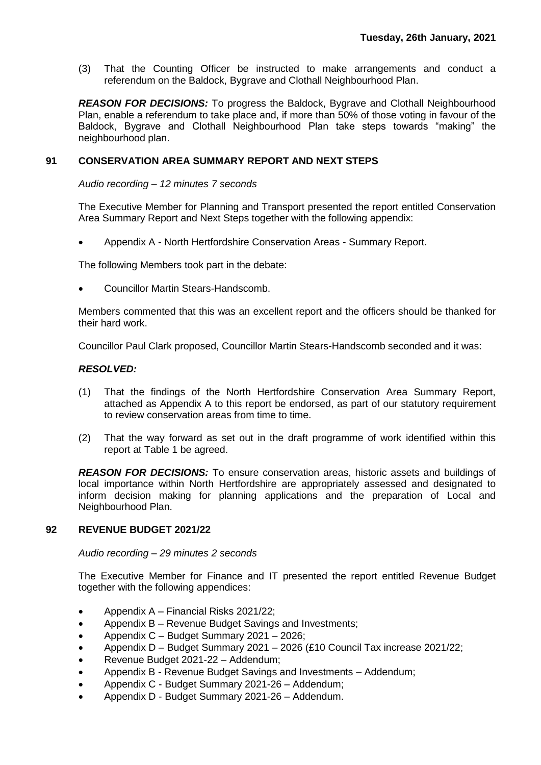(3) That the Counting Officer be instructed to make arrangements and conduct a referendum on the Baldock, Bygrave and Clothall Neighbourhood Plan.

*REASON FOR DECISIONS:* To progress the Baldock, Bygrave and Clothall Neighbourhood Plan, enable a referendum to take place and, if more than 50% of those voting in favour of the Baldock, Bygrave and Clothall Neighbourhood Plan take steps towards "making" the neighbourhood plan.

## **91 CONSERVATION AREA SUMMARY REPORT AND NEXT STEPS**

*Audio recording – 12 minutes 7 seconds*

The Executive Member for Planning and Transport presented the report entitled Conservation Area Summary Report and Next Steps together with the following appendix:

Appendix A - North Hertfordshire Conservation Areas - Summary Report.

The following Members took part in the debate:

Councillor Martin Stears-Handscomb.

Members commented that this was an excellent report and the officers should be thanked for their hard work.

Councillor Paul Clark proposed, Councillor Martin Stears-Handscomb seconded and it was:

#### *RESOLVED:*

- (1) That the findings of the North Hertfordshire Conservation Area Summary Report, attached as Appendix A to this report be endorsed, as part of our statutory requirement to review conservation areas from time to time.
- (2) That the way forward as set out in the draft programme of work identified within this report at Table 1 be agreed.

*REASON FOR DECISIONS:* To ensure conservation areas, historic assets and buildings of local importance within North Hertfordshire are appropriately assessed and designated to inform decision making for planning applications and the preparation of Local and Neighbourhood Plan.

#### **92 REVENUE BUDGET 2021/22**

*Audio recording – 29 minutes 2 seconds*

The Executive Member for Finance and IT presented the report entitled Revenue Budget together with the following appendices:

- Appendix A Financial Risks 2021/22;
- Appendix B Revenue Budget Savings and Investments;
- Appendix C Budget Summary 2021 2026;
- Appendix D Budget Summary 2021 2026 (£10 Council Tax increase 2021/22;
- Revenue Budget 2021-22 Addendum;
- Appendix B Revenue Budget Savings and Investments Addendum;
- Appendix C Budget Summary 2021-26 Addendum;
- Appendix D Budget Summary 2021-26 Addendum.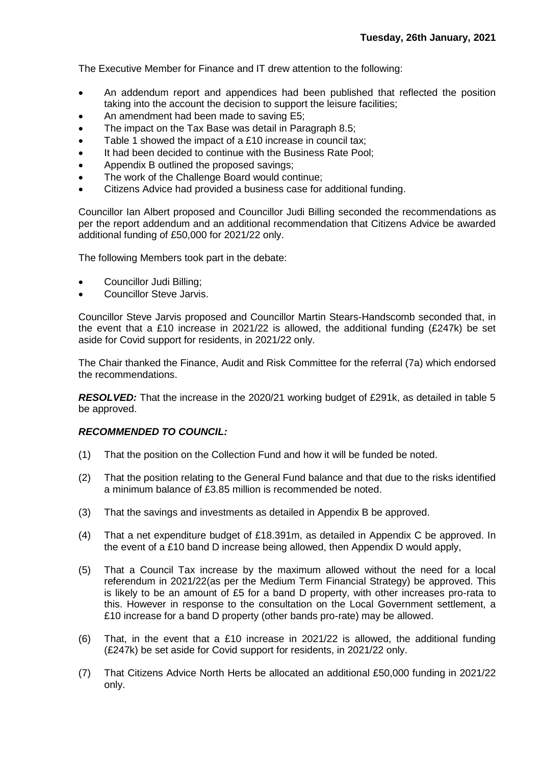The Executive Member for Finance and IT drew attention to the following:

- An addendum report and appendices had been published that reflected the position taking into the account the decision to support the leisure facilities;
- An amendment had been made to saving E5;
- The impact on the Tax Base was detail in Paragraph 8.5;
- Table 1 showed the impact of a £10 increase in council tax;
- It had been decided to continue with the Business Rate Pool;
- Appendix B outlined the proposed savings;
- The work of the Challenge Board would continue;
- Citizens Advice had provided a business case for additional funding.

Councillor Ian Albert proposed and Councillor Judi Billing seconded the recommendations as per the report addendum and an additional recommendation that Citizens Advice be awarded additional funding of £50,000 for 2021/22 only.

The following Members took part in the debate:

- Councillor Judi Billing;
- Councillor Steve Jarvis.

Councillor Steve Jarvis proposed and Councillor Martin Stears-Handscomb seconded that, in the event that a £10 increase in 2021/22 is allowed, the additional funding (£247k) be set aside for Covid support for residents, in 2021/22 only.

The Chair thanked the Finance, Audit and Risk Committee for the referral (7a) which endorsed the recommendations.

*RESOLVED:* That the increase in the 2020/21 working budget of £291k, as detailed in table 5 be approved.

#### *RECOMMENDED TO COUNCIL:*

- (1) That the position on the Collection Fund and how it will be funded be noted.
- (2) That the position relating to the General Fund balance and that due to the risks identified a minimum balance of £3.85 million is recommended be noted.
- (3) That the savings and investments as detailed in Appendix B be approved.
- (4) That a net expenditure budget of £18.391m, as detailed in Appendix C be approved. In the event of a £10 band D increase being allowed, then Appendix D would apply,
- (5) That a Council Tax increase by the maximum allowed without the need for a local referendum in 2021/22(as per the Medium Term Financial Strategy) be approved. This is likely to be an amount of £5 for a band D property, with other increases pro-rata to this. However in response to the consultation on the Local Government settlement, a £10 increase for a band D property (other bands pro-rate) may be allowed.
- (6) That, in the event that a £10 increase in 2021/22 is allowed, the additional funding (£247k) be set aside for Covid support for residents, in 2021/22 only.
- (7) That Citizens Advice North Herts be allocated an additional £50,000 funding in 2021/22 only.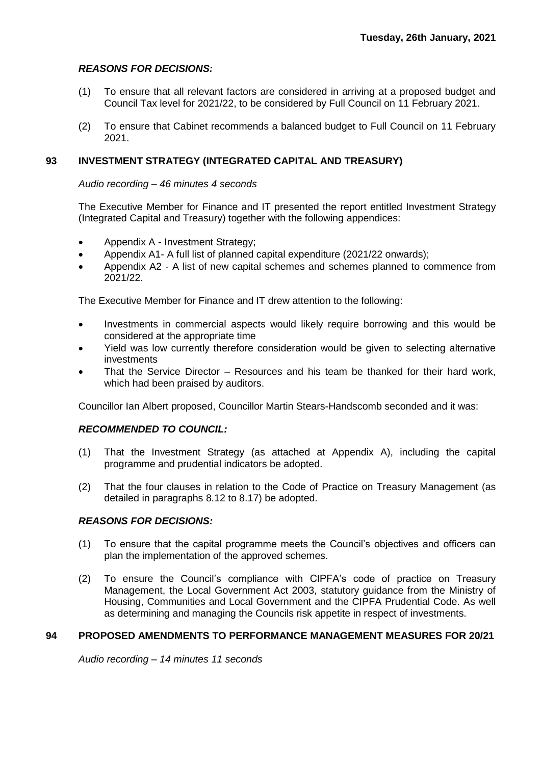# *REASONS FOR DECISIONS:*

- (1) To ensure that all relevant factors are considered in arriving at a proposed budget and Council Tax level for 2021/22, to be considered by Full Council on 11 February 2021.
- (2) To ensure that Cabinet recommends a balanced budget to Full Council on 11 February 2021.

# **93 INVESTMENT STRATEGY (INTEGRATED CAPITAL AND TREASURY)**

## *Audio recording – 46 minutes 4 seconds*

The Executive Member for Finance and IT presented the report entitled Investment Strategy (Integrated Capital and Treasury) together with the following appendices:

- Appendix A Investment Strategy;
- Appendix A1- A full list of planned capital expenditure (2021/22 onwards);
- Appendix A2 A list of new capital schemes and schemes planned to commence from 2021/22.

The Executive Member for Finance and IT drew attention to the following:

- Investments in commercial aspects would likely require borrowing and this would be considered at the appropriate time
- Yield was low currently therefore consideration would be given to selecting alternative investments
- That the Service Director Resources and his team be thanked for their hard work, which had been praised by auditors.

Councillor Ian Albert proposed, Councillor Martin Stears-Handscomb seconded and it was:

# *RECOMMENDED TO COUNCIL:*

- (1) That the Investment Strategy (as attached at Appendix A), including the capital programme and prudential indicators be adopted.
- (2) That the four clauses in relation to the Code of Practice on Treasury Management (as detailed in paragraphs 8.12 to 8.17) be adopted.

# *REASONS FOR DECISIONS:*

- (1) To ensure that the capital programme meets the Council's objectives and officers can plan the implementation of the approved schemes.
- (2) To ensure the Council's compliance with CIPFA's code of practice on Treasury Management, the Local Government Act 2003, statutory guidance from the Ministry of Housing, Communities and Local Government and the CIPFA Prudential Code. As well as determining and managing the Councils risk appetite in respect of investments.

## **94 PROPOSED AMENDMENTS TO PERFORMANCE MANAGEMENT MEASURES FOR 20/21**

*Audio recording – 14 minutes 11 seconds*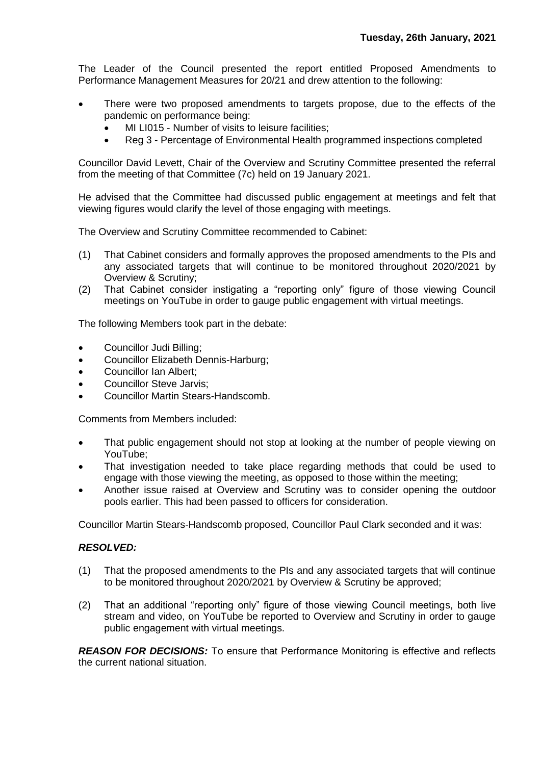The Leader of the Council presented the report entitled Proposed Amendments to Performance Management Measures for 20/21 and drew attention to the following:

- There were two proposed amendments to targets propose, due to the effects of the pandemic on performance being:
	- MI LI015 Number of visits to leisure facilities;
	- Reg 3 Percentage of Environmental Health programmed inspections completed

Councillor David Levett, Chair of the Overview and Scrutiny Committee presented the referral from the meeting of that Committee (7c) held on 19 January 2021.

He advised that the Committee had discussed public engagement at meetings and felt that viewing figures would clarify the level of those engaging with meetings.

The Overview and Scrutiny Committee recommended to Cabinet:

- (1) That Cabinet considers and formally approves the proposed amendments to the PIs and any associated targets that will continue to be monitored throughout 2020/2021 by Overview & Scrutiny;
- (2) That Cabinet consider instigating a "reporting only" figure of those viewing Council meetings on YouTube in order to gauge public engagement with virtual meetings.

The following Members took part in the debate:

- Councillor Judi Billing;
- Councillor Elizabeth Dennis-Harburg;
- Councillor Ian Albert;
- Councillor Steve Jarvis:
- Councillor Martin Stears-Handscomb.

Comments from Members included:

- That public engagement should not stop at looking at the number of people viewing on YouTube;
- That investigation needed to take place regarding methods that could be used to engage with those viewing the meeting, as opposed to those within the meeting;
- Another issue raised at Overview and Scrutiny was to consider opening the outdoor pools earlier. This had been passed to officers for consideration.

Councillor Martin Stears-Handscomb proposed, Councillor Paul Clark seconded and it was:

#### *RESOLVED:*

- (1) That the proposed amendments to the PIs and any associated targets that will continue to be monitored throughout 2020/2021 by Overview & Scrutiny be approved;
- (2) That an additional "reporting only" figure of those viewing Council meetings, both live stream and video, on YouTube be reported to Overview and Scrutiny in order to gauge public engagement with virtual meetings.

*REASON FOR DECISIONS:* To ensure that Performance Monitoring is effective and reflects the current national situation.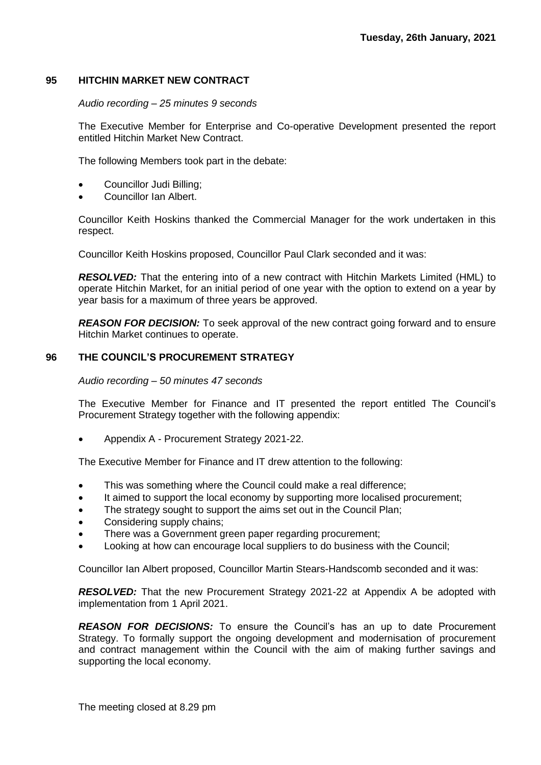# **95 HITCHIN MARKET NEW CONTRACT**

#### *Audio recording – 25 minutes 9 seconds*

The Executive Member for Enterprise and Co-operative Development presented the report entitled Hitchin Market New Contract.

The following Members took part in the debate:

- Councillor Judi Billing;
- Councillor Ian Albert.

Councillor Keith Hoskins thanked the Commercial Manager for the work undertaken in this respect.

Councillor Keith Hoskins proposed, Councillor Paul Clark seconded and it was:

*RESOLVED:* That the entering into of a new contract with Hitchin Markets Limited (HML) to operate Hitchin Market, for an initial period of one year with the option to extend on a year by year basis for a maximum of three years be approved.

*REASON FOR DECISION:* To seek approval of the new contract going forward and to ensure Hitchin Market continues to operate.

## **96 THE COUNCIL'S PROCUREMENT STRATEGY**

#### *Audio recording – 50 minutes 47 seconds*

The Executive Member for Finance and IT presented the report entitled The Council's Procurement Strategy together with the following appendix:

Appendix A - Procurement Strategy 2021-22.

The Executive Member for Finance and IT drew attention to the following:

- This was something where the Council could make a real difference;
- It aimed to support the local economy by supporting more localised procurement;
- The strategy sought to support the aims set out in the Council Plan;
- Considering supply chains;
- There was a Government green paper regarding procurement;
- Looking at how can encourage local suppliers to do business with the Council;

Councillor Ian Albert proposed, Councillor Martin Stears-Handscomb seconded and it was:

*RESOLVED:* That the new Procurement Strategy 2021-22 at Appendix A be adopted with implementation from 1 April 2021.

*REASON FOR DECISIONS:* To ensure the Council's has an up to date Procurement Strategy. To formally support the ongoing development and modernisation of procurement and contract management within the Council with the aim of making further savings and supporting the local economy.